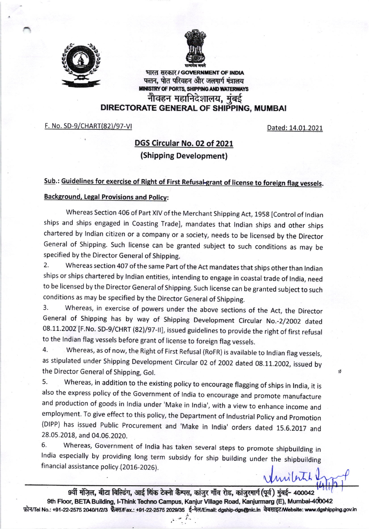



भारत सरकार / GOVERNMENT OF INDIA पत्तन, पोत परिवहन और जलमार्ग मंत्रालय<br>MINISTRY OF PORTS, SHIPPING AND WATERWAYS नौवहन महानिदेशालय, मुंबई DIRECTORATE GENERAL OF SHIPPING, MUMBAI

F. No. SD-9/CHART(82)/97-VI

Dated: 14.01.2021

## DGS Circular No. 02 of 2021 (Shipping Development)

## Sub.: Guidelines for exercise of Right of First Refusal-grant of license to foreign flag vessels.

## **Background, Legal Provisions and Policy:**

Whereas Section 406 of Part XIV of the Merchant Shipping Act, 1958 [Control of Indian ships and ships engaged in Coasting Trade], mandates that Indian ships and other ships chartered by lndian citizen or a company or a society, needs to be licensed by the Director General of shipping. such license can be granted subject to such conditions as may be specified by the Director General of Shipping.

2. Whereas section 407 of the same Part of the Act mandates that ships other than Indian ships or ships chartered by Indian entities, intending to engage in coastal trade of India, need to be licensed by the Director General of Shipping. Such license can be granted subject to such conditions as may be specified by the Director General of Shipping.

3. whereas, in exercise of powers under the above sections of the Act, the Director General of Shipping has by way of Shipping Development Circular No.-2/2002 dated 08.11.2002 [F.No. SD-9/CHRT (82)/97-II], issued guidelines to provide the right of first refusal<br>to the Indian flag vessels before grant of license to foreign flag vessels.

4. Whereas, as of now, the Right of First Refusal (RoFR) is available to Indian flag vessels, as stipulated under shipping Development circular 02 of 2002 dated 0g.11.2002, issued by the Director General of Shipping, Gol.

5. Whereas, in addition to the existing policy to encourage flagging of ships in lndia, it is also the express policy of the Government of India to encourage and promote manufacture and production of goods in India under 'Make in India', with a view to enhance income and employment. To give effect to this policy, the Department of lndustrial policy and promotion (DIPP) has issued Public Procurement and 'Make in India' orders dated 15.6.2017 and 28.05.2018, and 04.06.2020.

6. Whereas, Government of India has taken several steps to promote shipbuilding in India especially by providing long term subsidy for ship building under the shipbuilding financial assistance policy (2016-2026). Vinibits !

9वीं मंज़िल, बीटा बिल्डिंग, आई थिंक टेक्नो कैम्पस, कांजुर गाँव रोड, कांजुरमार्ग (पूर्व) मुंबई- 400042 9th Floor, BETA Building, I-Think Techno Campus, Kanjur Village Road, Kanjurmarg (E), Mumbai-400042 फ़ोन/Tel No.: +91-22-2575 2040/1/2/3 फेक्स/Fax.: +91-22-2575 2029/35 ई-मेल/Email: dgship-dgs@nic.in वेबसाइट/Website: www.dgshipping.gov.in

 $\cdot$